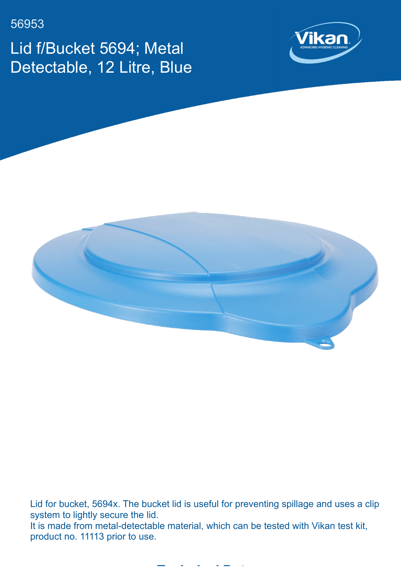56953

Lid f/Bucket 5694; Metal Detectable, 12 Litre, Blue





Lid for bucket, 5694x. The bucket lid is useful for preventing spillage and uses a clip system to lightly secure the lid. It is made from metal-detectable material, which can be tested with Vikan test kit, product no. 11113 prior to use.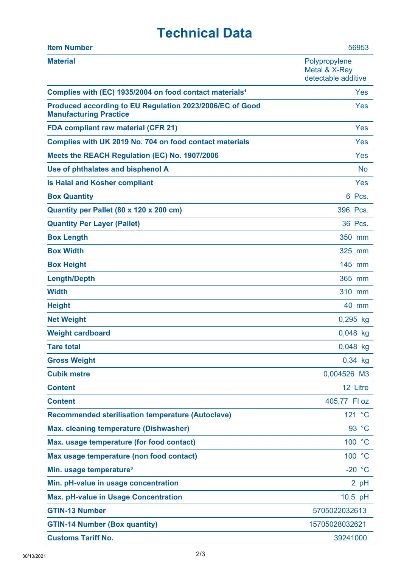## **Technical Data**

| <b>Item Number</b>                                                                        | 56953                                                 |
|-------------------------------------------------------------------------------------------|-------------------------------------------------------|
| <b>Material</b>                                                                           | Polypropylene<br>Metal & X-Ray<br>detectable additive |
| Complies with (EC) 1935/2004 on food contact materials <sup>1</sup>                       | Yes                                                   |
| Produced according to EU Regulation 2023/2006/EC of Good<br><b>Manufacturing Practice</b> | Yes                                                   |
| <b>FDA compliant raw material (CFR 21)</b>                                                | Yes                                                   |
| Complies with UK 2019 No. 704 on food contact materials                                   | Yes                                                   |
| Meets the REACH Regulation (EC) No. 1907/2006                                             | Yes                                                   |
| Use of phthalates and bisphenol A                                                         | <b>No</b>                                             |
| <b>Is Halal and Kosher compliant</b>                                                      | Yes                                                   |
| <b>Box Quantity</b>                                                                       | 6 Pcs.                                                |
| Quantity per Pallet (80 x 120 x 200 cm)                                                   | 396 Pcs.                                              |
| <b>Quantity Per Layer (Pallet)</b>                                                        | 36 Pcs.                                               |
| <b>Box Length</b>                                                                         | 350 mm                                                |
| <b>Box Width</b>                                                                          | 325 mm                                                |
| <b>Box Height</b>                                                                         | 145 mm                                                |
| <b>Length/Depth</b>                                                                       | 365 mm                                                |
| <b>Width</b>                                                                              | 310 mm                                                |
| <b>Height</b>                                                                             | 40 mm                                                 |
| <b>Net Weight</b>                                                                         | $0,295$ kg                                            |
| <b>Weight cardboard</b>                                                                   | $0,048$ kg                                            |
| <b>Tare total</b>                                                                         | 0,048 kg                                              |
| <b>Gross Weight</b>                                                                       | $0,34$ kg                                             |
| <b>Cubik metre</b>                                                                        | 0,004526 M3                                           |
| <b>Content</b>                                                                            | 12 Litre                                              |
| <b>Content</b>                                                                            | 405,77 Fl oz                                          |
| <b>Recommended sterilisation temperature (Autoclave)</b>                                  | 121 °C                                                |
| <b>Max. cleaning temperature (Dishwasher)</b>                                             | 93 °C                                                 |
| Max. usage temperature (for food contact)                                                 | 100 °C                                                |
| Max usage temperature (non food contact)                                                  | 100 °C                                                |
| Min. usage temperature <sup>3</sup>                                                       | $-20 °C$                                              |
| Min. pH-value in usage concentration                                                      | 2 pH                                                  |
| <b>Max. pH-value in Usage Concentration</b>                                               | 10,5 pH                                               |
| <b>GTIN-13 Number</b>                                                                     | 5705022032613                                         |
| <b>GTIN-14 Number (Box quantity)</b>                                                      | 15705028032621                                        |
| <b>Customs Tariff No.</b>                                                                 | 39241000                                              |